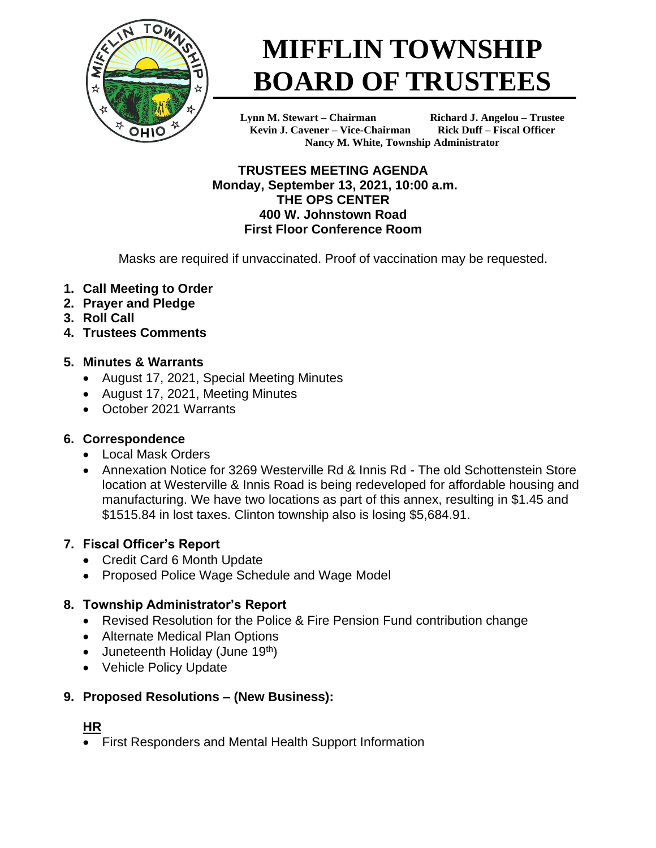

# **MIFFLIN TOWNSHIP BOARD OF TRUSTEES**

**Lynn M. Stewart – Chairman Richard J. Angelou – Trustee Kevin J. Cavener – Vice-Chairman Rick Duff – Fiscal Officer Nancy M. White, Township Administrator**

**TRUSTEES MEETING AGENDA Monday, September 13, 2021, 10:00 a.m. THE OPS CENTER 400 W. Johnstown Road First Floor Conference Room**

Masks are required if unvaccinated. Proof of vaccination may be requested.

- **1. Call Meeting to Order**
- **2. Prayer and Pledge**
- **3. Roll Call**
- **4. Trustees Comments**

## **5. Minutes & Warrants**

- August 17, 2021, Special Meeting Minutes
- August 17, 2021, Meeting Minutes
- October 2021 Warrants

## **6. Correspondence**

- Local Mask Orders
- Annexation Notice for 3269 Westerville Rd & Innis Rd The old Schottenstein Store location at Westerville & Innis Road is being redeveloped for affordable housing and manufacturing. We have two locations as part of this annex, resulting in \$1.45 and \$1515.84 in lost taxes. Clinton township also is losing \$5,684.91.

## **7. Fiscal Officer's Report**

- Credit Card 6 Month Update
- Proposed Police Wage Schedule and Wage Model

## **8. Township Administrator's Report**

- Revised Resolution for the Police & Fire Pension Fund contribution change
- Alternate Medical Plan Options
- Juneteenth Holiday (June  $19<sup>th</sup>$ )
- Vehicle Policy Update

## **9. Proposed Resolutions – (New Business):**

#### **HR**

• First Responders and Mental Health Support Information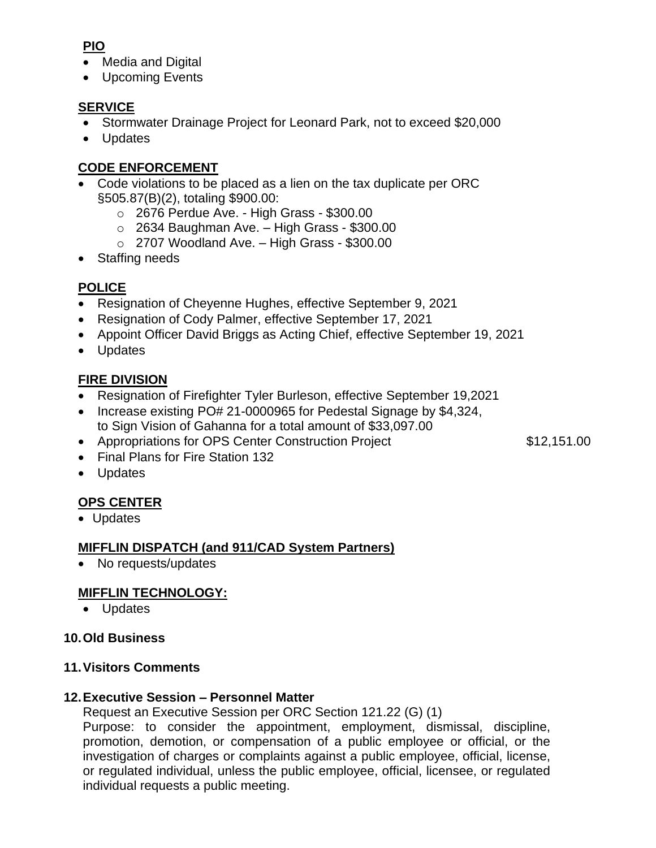## **PIO**

- Media and Digital
- Upcoming Events

## **SERVICE**

- Stormwater Drainage Project for Leonard Park, not to exceed \$20,000
- Updates

## **CODE ENFORCEMENT**

- Code violations to be placed as a lien on the tax duplicate per ORC §505.87(B)(2), totaling \$900.00:
	- o 2676 Perdue Ave. High Grass \$300.00
	- $\circ$  2634 Baughman Ave. High Grass \$300.00
	- $\circ$  2707 Woodland Ave. High Grass \$300.00
- Staffing needs

## **POLICE**

- Resignation of Cheyenne Hughes, effective September 9, 2021
- Resignation of Cody Palmer, effective September 17, 2021
- Appoint Officer David Briggs as Acting Chief, effective September 19, 2021
- Updates

## **FIRE DIVISION**

- Resignation of Firefighter Tyler Burleson, effective September 19,2021
- Increase existing PO# 21-0000965 for Pedestal Signage by \$4,324, to Sign Vision of Gahanna for a total amount of \$33,097.00
- Appropriations for OPS Center Construction Project \$12,151.00

- Final Plans for Fire Station 132
- Updates

## **OPS CENTER**

• Updates

## **MIFFLIN DISPATCH (and 911/CAD System Partners)**

• No requests/updates

## **MIFFLIN TECHNOLOGY:**

• Updates

## **10.Old Business**

## **11.Visitors Comments**

## **12.Executive Session – Personnel Matter**

Request an Executive Session per ORC Section 121.22 (G) (1)

Purpose: to consider the appointment, employment, dismissal, discipline, promotion, demotion, or compensation of a public employee or official, or the investigation of charges or complaints against a public employee, official, license, or regulated individual, unless the public employee, official, licensee, or regulated individual requests a public meeting.